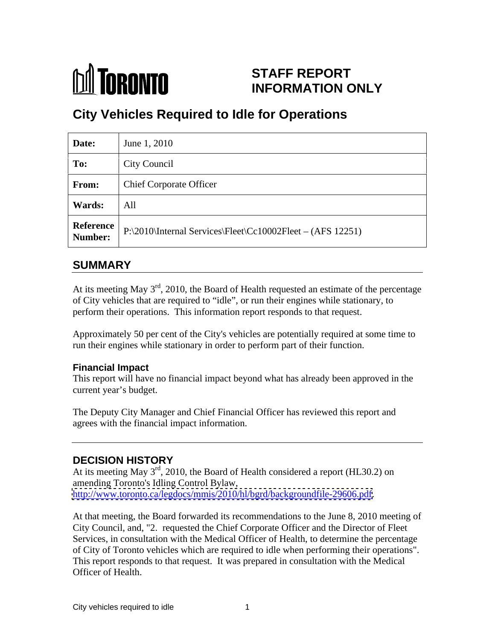

## **STAFF REPORT INFORMATION ONLY**

# **City Vehicles Required to Idle for Operations**

| Date:  | June 1, 2010                                                         |
|--------|----------------------------------------------------------------------|
| To:    | City Council                                                         |
| From:  | <b>Chief Corporate Officer</b>                                       |
| Wards: | All                                                                  |
|        | Reference P:\2010\Internal Services\Fleet\Cc10002Fleet – (AFS 12251) |

### **SUMMARY**

At its meeting May  $3<sup>rd</sup>$ , 2010, the Board of Health requested an estimate of the percentage of City vehicles that are required to "idle", or run their engines while stationary, to perform their operations. This information report responds to that request.

Approximately 50 per cent of the City's vehicles are potentially required at some time to run their engines while stationary in order to perform part of their function.

#### **Financial Impact**

This report will have no financial impact beyond what has already been approved in the current year's budget.

The Deputy City Manager and Chief Financial Officer has reviewed this report and agrees with the financial impact information.

### **DECISION HISTORY**

At its meeting May 3<sup>rd</sup>, 2010, the Board of Health considered a report (HL30.2) on amending Toronto's Idling Control Bylaw, [http://www.toronto.ca/legdocs/mmis/2010/hl/bgrd/backgroundfile-29606.pdf.](http://www.toronto.ca/legdocs/mmis/2010/hl/bgrd/backgroundfile-29606.pdf)

At that meeting, the Board forwarded its recommendations to the June 8, 2010 meeting of City Council, and, "2. requested the Chief Corporate Officer and the Director of Fleet Services, in consultation with the Medical Officer of Health, to determine the percentage of City of Toronto vehicles which are required to idle when performing their operations". This report responds to that request. It was prepared in consultation with the Medical Officer of Health.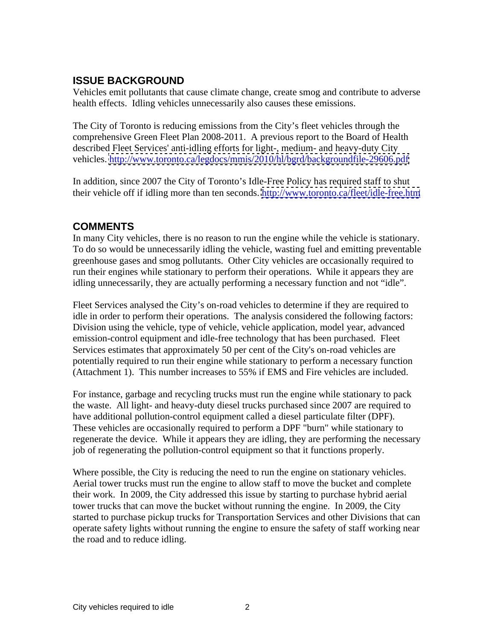### **ISSUE BACKGROUND**

Vehicles emit pollutants that cause climate change, create smog and contribute to adverse health effects. Idling vehicles unnecessarily also causes these emissions.

The City of Toronto is reducing emissions from the City's fleet vehicles through the comprehensive Green Fleet Plan 2008-2011. A previous report to the Board of Health described Fleet Services' anti-idling efforts for light-, medium- and heavy-duty City vehicles. <http://www.toronto.ca/legdocs/mmis/2010/hl/bgrd/backgroundfile-29606.pdf>

In addition, since 2007 the City of Toronto's Idle-Free Policy has required staff to shut their vehicle off if idling more than ten seconds.<http://www.toronto.ca/fleet/idle-free.htm>

### **COMMENTS**

In many City vehicles, there is no reason to run the engine while the vehicle is stationary. To do so would be unnecessarily idling the vehicle, wasting fuel and emitting preventable greenhouse gases and smog pollutants. Other City vehicles are occasionally required to run their engines while stationary to perform their operations. While it appears they are

idling unnecessarily, they are actually performing a necessary function and not "idle".<br>Fleet Services analysed the City's on-road vehicles to determine if they are required to idle in order to perform their operations. The analysis considered the following factors: Division using the vehicle, type of vehicle, vehicle application, model year, advanced emission-control equipment and idle-free technology that has been purchased. Fleet Services estimates that approximately 50 per cent of the City's on-road vehicles are potentially required to run their engine while stationary to perform a necessary function (Attachment 1). This number increases to 55% if EMS and Fire vehicles are included.

For instance, garbage and recycling trucks must run the engine while stationary to pack the waste. All light- and heavy-duty diesel trucks purchased since 2007 are required to have additional pollution-control equipment called a diesel particulate filter (DPF). These vehicles are occasionally required to perform a DPF "burn" while stationary to regenerate the device. While it appears they are idling, they are performing the necessary job of regenerating the pollution-control equipment so that it functions properly.

Where possible, the City is reducing the need to run the engine on stationary vehicles. Aerial tower trucks must run the engine to allow staff to move the bucket and complete their work. In 2009, the City addressed this issue by starting to purchase hybrid aerial tower trucks that can move the bucket without running the engine. In 2009, the City started to purchase pickup trucks for Transportation Services and other Divisions that can operate safety lights without running the engine to ensure the safety of staff working near the road and to reduce idling.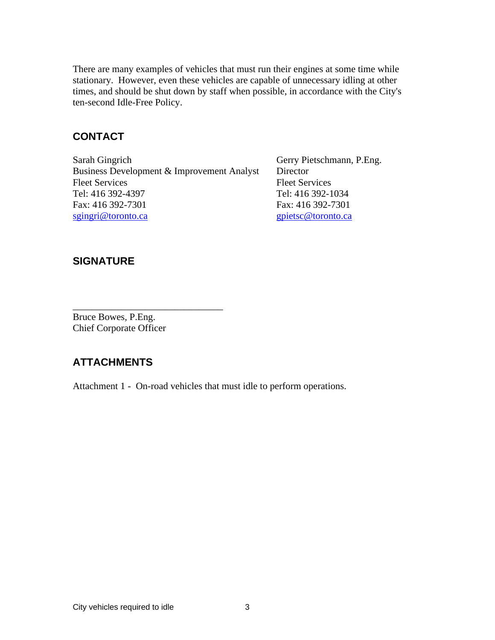There are many examples of vehicles that must run their engines at some time while stationary. However, even these vehicles are capable of unnecessary idling at other times, and should be shut down by staff when possible, in accordance with the City's ten-second Idle-Free Policy.

#### **CONTACT**

Sarah Gingrich Gerry Pietschmann, P.Eng. Business Development & Improvement Analyst Director Fleet Services Fleet Services Tel: 416 392-4397 Tel: 416 392-1034 Fax: 416 392-7301 Fax: 416 392-7301 sgingri@toronto.ca examples and separate services and services and services and services and services and services  $g$  pietsc@toronto.ca

 $\overline{\phantom{a}}$  , we can assume that the contract of  $\overline{\phantom{a}}$  , we can assume that the contract of  $\overline{\phantom{a}}$ 

#### **SIGNATURE**

Bruce Bowes, P.Eng. Chief Corporate Officer

#### **ATTACHMENTS**

Attachment 1 - On-road vehicles that must idle to perform operations.